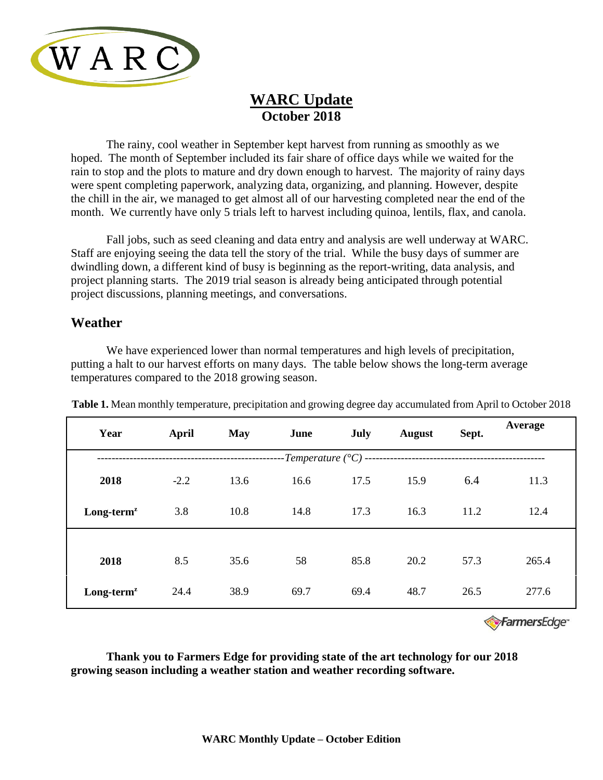

## **WARC Update October 2018**

The rainy, cool weather in September kept harvest from running as smoothly as we hoped. The month of September included its fair share of office days while we waited for the rain to stop and the plots to mature and dry down enough to harvest. The majority of rainy days were spent completing paperwork, analyzing data, organizing, and planning. However, despite the chill in the air, we managed to get almost all of our harvesting completed near the end of the month. We currently have only 5 trials left to harvest including quinoa, lentils, flax, and canola.

Fall jobs, such as seed cleaning and data entry and analysis are well underway at WARC. Staff are enjoying seeing the data tell the story of the trial. While the busy days of summer are dwindling down, a different kind of busy is beginning as the report-writing, data analysis, and project planning starts. The 2019 trial season is already being anticipated through potential project discussions, planning meetings, and conversations.

## **Weather**

We have experienced lower than normal temperatures and high levels of precipitation, putting a halt to our harvest efforts on many days. The table below shows the long-term average temperatures compared to the 2018 growing season.

| Year                                            | April  | <b>May</b> | June | July | August | Sept.  | Average |
|-------------------------------------------------|--------|------------|------|------|--------|--------|---------|
| -Temperature $({}^{\circ}C)$ ------------------ |        |            |      |      |        |        |         |
| 2018                                            | $-2.2$ | 13.6       | 16.6 | 17.5 | 15.9   | 6.4    | 11.3    |
| $Long-termz$                                    | 3.8    | 10.8       | 14.8 | 17.3 | 16.3   | 11.2   | 12.4    |
|                                                 |        |            |      |      |        |        |         |
| 2018                                            | 8.5    | 35.6       | 58   | 85.8 | 20.2   | 57.3   | 265.4   |
| $Long-termz$                                    | 24.4   | 38.9       | 69.7 | 69.4 | 48.7   | 26.5   | 277.6   |
|                                                 |        |            |      |      |        | $\sim$ |         |

**Table 1.** Mean monthly temperature, precipitation and growing degree day accumulated from April to October 2018

FarmersEdge<sup>®</sup>

**Thank you to Farmers Edge for providing state of the art technology for our 2018 growing season including a weather station and weather recording software.**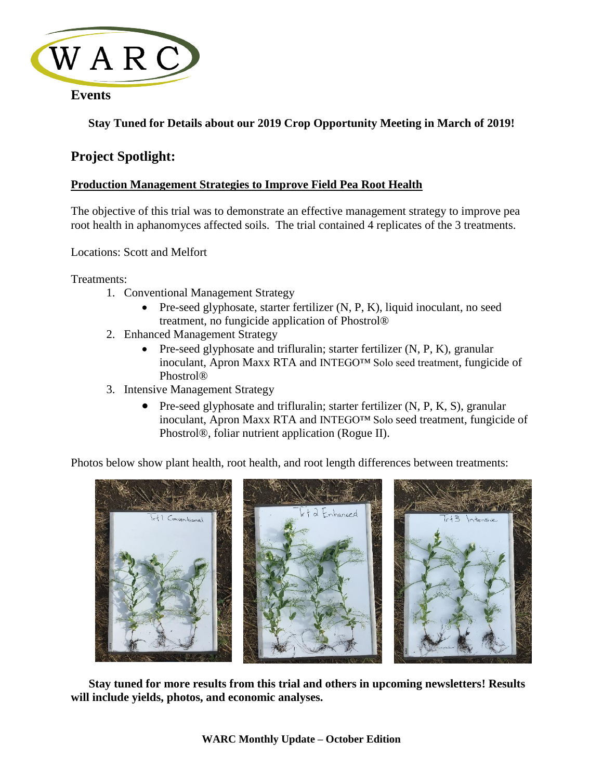

## **Events**

## **Stay Tuned for Details about our 2019 Crop Opportunity Meeting in March of 2019!**

## **Project Spotlight:**

### **Production Management Strategies to Improve Field Pea Root Health**

The objective of this trial was to demonstrate an effective management strategy to improve pea root health in aphanomyces affected soils. The trial contained 4 replicates of the 3 treatments.

Locations: Scott and Melfort

Treatments:

- 1. Conventional Management Strategy
	- Pre-seed glyphosate, starter fertilizer (N, P, K), liquid inoculant, no seed treatment, no fungicide application of Phostrol®
- 2. Enhanced Management Strategy
	- Pre-seed glyphosate and trifluralin; starter fertilizer  $(N, P, K)$ , granular inoculant, Apron Maxx RTA and INTEGO™ Solo seed treatment, fungicide of Phostrol®
- 3. Intensive Management Strategy
	- Pre-seed glyphosate and trifluralin; starter fertilizer (N, P, K, S), granular inoculant, Apron Maxx RTA and INTEGO™ Solo seed treatment, fungicide of Phostrol®, foliar nutrient application (Rogue II).

Photos below show plant health, root health, and root length differences between treatments:



**Stay tuned for more results from this trial and others in upcoming newsletters! Results will include yields, photos, and economic analyses.**